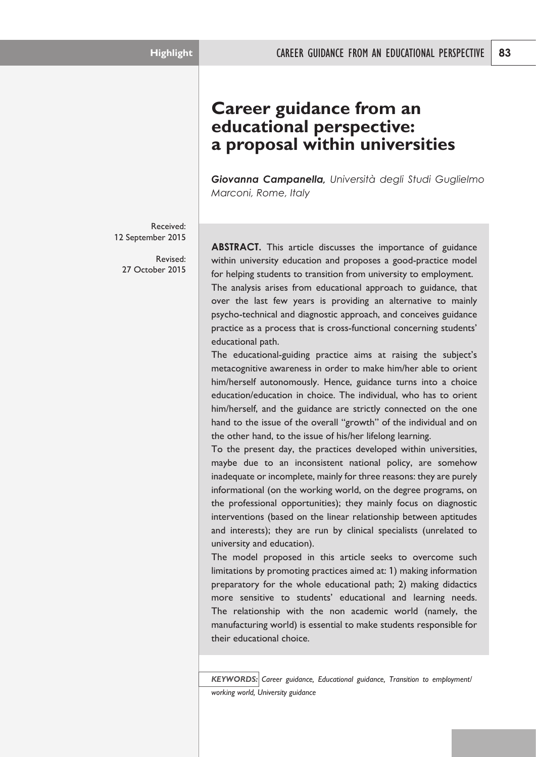# **Career guidance from an educational perspective: a proposal within universities**

*Giovanna Campanella, Università degli Studi Guglielmo Marconi, Rome, Italy*

Received: 12 September 2015

Revised: 27 October 2015

**ABSTRACT.** This article discusses the importance of guidance within university education and proposes a good-practice model for helping students to transition from university to employment. The analysis arises from educational approach to guidance, that over the last few years is providing an alternative to mainly psycho-technical and diagnostic approach, and conceives guidance practice as a process that is cross-functional concerning students' educational path.

The educational-guiding practice aims at raising the subject's metacognitive awareness in order to make him/her able to orient him/herself autonomously. Hence, guidance turns into a choice education/education in choice. The individual, who has to orient him/herself, and the guidance are strictly connected on the one hand to the issue of the overall "growth" of the individual and on the other hand, to the issue of his/her lifelong learning.

To the present day, the practices developed within universities, maybe due to an inconsistent national policy, are somehow inadequate or incomplete, mainly for three reasons: they are purely informational (on the working world, on the degree programs, on the professional opportunities); they mainly focus on diagnostic interventions (based on the linear relationship between aptitudes and interests); they are run by clinical specialists (unrelated to university and education).

The model proposed in this article seeks to overcome such limitations by promoting practices aimed at: 1) making information preparatory for the whole educational path; 2) making didactics more sensitive to students' educational and learning needs. The relationship with the non academic world (namely, the manufacturing world) is essential to make students responsible for their educational choice.

*KEYWORDS: Career guidance, Educational guidance, Transition to employment/ working world, University guidance*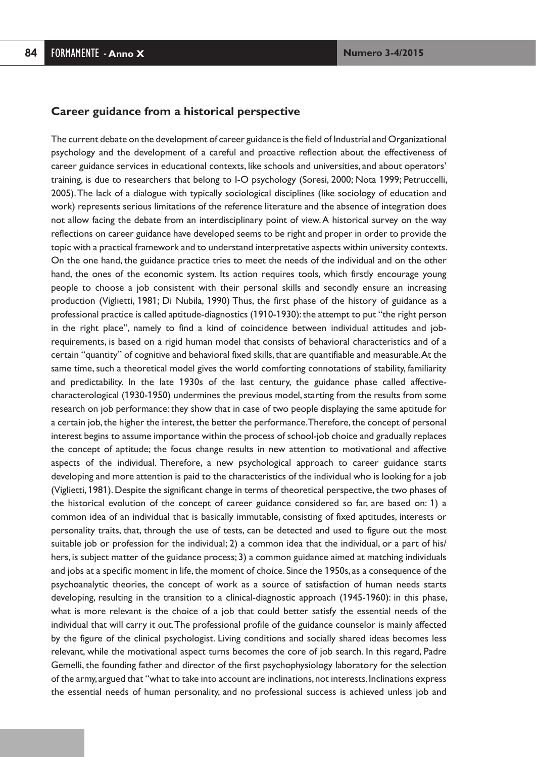#### **Career guidance from a historical perspective**

The current debate on the development of career guidance is the field of Industrial and Organizational psychology and the development of a careful and proactive reflection about the effectiveness of career guidance services in educational contexts, like schools and universities, and about operators' training, is due to researchers that belong to I-O psychology (Soresi, 2000; Nota 1999; Petruccelli, 2005).The lack of a dialogue with typically sociological disciplines (like sociology of education and work) represents serious limitations of the reference literature and the absence of integration does not allow facing the debate from an interdisciplinary point of view.A historical survey on the way reflections on career guidance have developed seems to be right and proper in order to provide the topic with a practical framework and to understand interpretative aspects within university contexts. On the one hand, the guidance practice tries to meet the needs of the individual and on the other hand, the ones of the economic system. Its action requires tools, which firstly encourage young people to choose a job consistent with their personal skills and secondly ensure an increasing production (Viglietti, 1981; Di Nubila, 1990) Thus, the first phase of the history of guidance as a professional practice is called aptitude-diagnostics (1910-1930): the attempt to put "the right person in the right place", namely to find a kind of coincidence between individual attitudes and jobrequirements, is based on a rigid human model that consists of behavioral characteristics and of a certain "quantity" of cognitive and behavioral fixed skills,that are quantifiable and measurable.At the same time, such a theoretical model gives the world comforting connotations of stability, familiarity and predictability. In the late 1930s of the last century, the guidance phase called affectivecharacterological (1930-1950) undermines the previous model, starting from the results from some research on job performance: they show that in case of two people displaying the same aptitude for a certain job, the higher the interest, the better the performance. Therefore, the concept of personal interest begins to assume importance within the process of school-job choice and gradually replaces the concept of aptitude; the focus change results in new attention to motivational and affective aspects of the individual. Therefore, a new psychological approach to career guidance starts developing and more attention is paid to the characteristics of the individual who is looking for a job (Viglietti, 1981). Despite the significant change in terms of theoretical perspective, the two phases of the historical evolution of the concept of career guidance considered so far, are based on: 1) a common idea of an individual that is basically immutable, consisting of fixed aptitudes, interests or personality traits, that, through the use of tests, can be detected and used to figure out the most suitable job or profession for the individual; 2) a common idea that the individual, or a part of his/ hers, is subject matter of the guidance process; 3) a common guidance aimed at matching individuals and jobs at a specific moment in life, the moment of choice. Since the 1950s, as a consequence of the psychoanalytic theories, the concept of work as a source of satisfaction of human needs starts developing, resulting in the transition to a clinical-diagnostic approach (1945-1960): in this phase, what is more relevant is the choice of a job that could better satisfy the essential needs of the individual that will carry it out.The professional profile of the guidance counselor is mainly affected by the figure of the clinical psychologist. Living conditions and socially shared ideas becomes less relevant, while the motivational aspect turns becomes the core of job search. In this regard, Padre Gemelli, the founding father and director of the first psychophysiology laboratory for the selection of the army, argued that "what to take into account are inclinations,not interests.Inclinations express the essential needs of human personality, and no professional success is achieved unless job and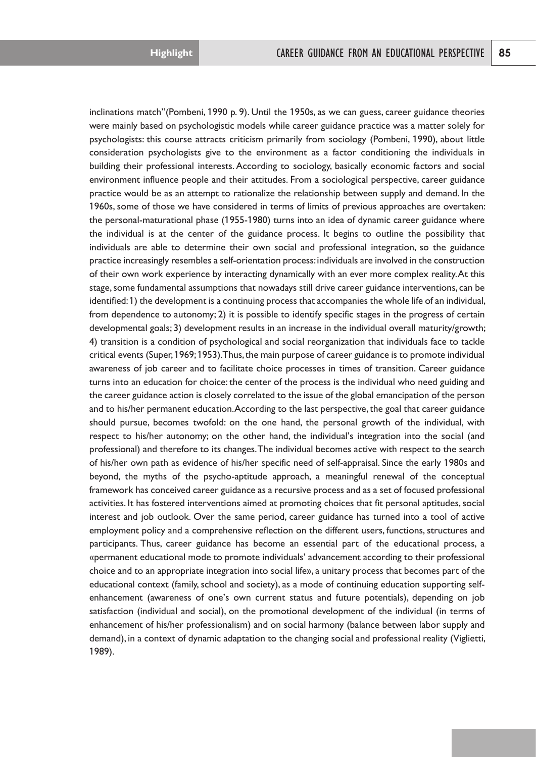inclinations match"(Pombeni, 1990 p. 9). Until the 1950s, as we can guess, career guidance theories were mainly based on psychologistic models while career guidance practice was a matter solely for psychologists: this course attracts criticism primarily from sociology (Pombeni, 1990), about little consideration psychologists give to the environment as a factor conditioning the individuals in building their professional interests. According to sociology, basically economic factors and social environment influence people and their attitudes. From a sociological perspective, career guidance practice would be as an attempt to rationalize the relationship between supply and demand. In the 1960s, some of those we have considered in terms of limits of previous approaches are overtaken: the personal-maturational phase (1955-1980) turns into an idea of dynamic career guidance where the individual is at the center of the guidance process. It begins to outline the possibility that individuals are able to determine their own social and professional integration, so the guidance practice increasingly resembles a self-orientation process:individuals are involved in the construction of their own work experience by interacting dynamically with an ever more complex reality.At this stage,some fundamental assumptions that nowadays still drive career guidance interventions, can be identified:1) the development is a continuing process that accompanies the whole life of an individual, from dependence to autonomy; 2) it is possible to identify specific stages in the progress of certain developmental goals; 3) development results in an increase in the individual overall maturity/growth; 4) transition is a condition of psychological and social reorganization that individuals face to tackle critical events (Super,1969;1953).Thus,the main purpose of career guidance is to promote individual awareness of job career and to facilitate choice processes in times of transition. Career guidance turns into an education for choice: the center of the process is the individual who need guiding and the career guidance action is closely correlated to the issue of the global emancipation of the person and to his/her permanent education.According to the last perspective,the goal that career guidance should pursue, becomes twofold: on the one hand, the personal growth of the individual, with respect to his/her autonomy; on the other hand, the individual's integration into the social (and professional) and therefore to its changes.The individual becomes active with respect to the search of his/her own path as evidence of his/her specific need of self-appraisal. Since the early 1980s and beyond, the myths of the psycho-aptitude approach, a meaningful renewal of the conceptual framework has conceived career guidance as a recursive process and as a set of focused professional activities. It has fostered interventions aimed at promoting choices that fit personal aptitudes, social interest and job outlook. Over the same period, career guidance has turned into a tool of active employment policy and a comprehensive reflection on the different users, functions, structures and participants. Thus, career guidance has become an essential part of the educational process, a «permanent educational mode to promote individuals' advancement according to their professional choice and to an appropriate integration into social life», a unitary process that becomes part of the educational context (family, school and society), as a mode of continuing education supporting selfenhancement (awareness of one's own current status and future potentials), depending on job satisfaction (individual and social), on the promotional development of the individual (in terms of enhancement of his/her professionalism) and on social harmony (balance between labor supply and demand), in a context of dynamic adaptation to the changing social and professional reality (Viglietti, 1989).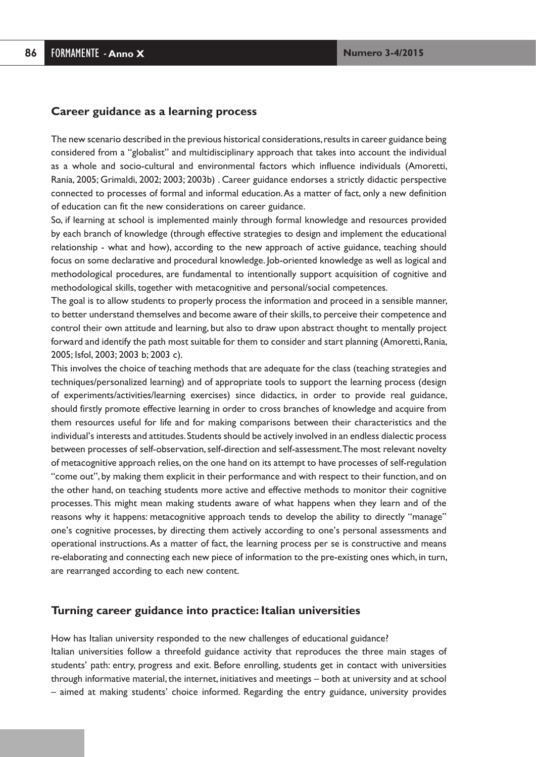#### **Career guidance as a learning process**

The new scenario described in the previous historical considerations, results in career guidance being considered from a "globalist" and multidisciplinary approach that takes into account the individual as a whole and socio-cultural and environmental factors which influence individuals (Amoretti, Rania, 2005; Grimaldi, 2002; 2003; 2003b) . Career guidance endorses a strictly didactic perspective connected to processes of formal and informal education.As a matter of fact, only a new definition of education can fit the new considerations on career guidance.

So, if learning at school is implemented mainly through formal knowledge and resources provided by each branch of knowledge (through effective strategies to design and implement the educational relationship - what and how), according to the new approach of active guidance, teaching should focus on some declarative and procedural knowledge. Job-oriented knowledge as well as logical and methodological procedures, are fundamental to intentionally support acquisition of cognitive and methodological skills, together with metacognitive and personal/social competences.

The goal is to allow students to properly process the information and proceed in a sensible manner, to better understand themselves and become aware of their skills,to perceive their competence and control their own attitude and learning, but also to draw upon abstract thought to mentally project forward and identify the path most suitable for them to consider and start planning (Amoretti, Rania, 2005; Isfol, 2003; 2003 b; 2003 c).

This involves the choice of teaching methods that are adequate for the class (teaching strategies and techniques/personalized learning) and of appropriate tools to support the learning process (design of experiments/activities/learning exercises) since didactics, in order to provide real guidance, should firstly promote effective learning in order to cross branches of knowledge and acquire from them resources useful for life and for making comparisons between their characteristics and the individual's interests and attitudes.Students should be actively involved in an endless dialectic process between processes of self-observation, self-direction and self-assessment. The most relevant novelty of metacognitive approach relies,on the one hand on its attempt to have processes of self-regulation "come out", by making them explicit in their performance and with respect to their function, and on the other hand, on teaching students more active and effective methods to monitor their cognitive processes.This might mean making students aware of what happens when they learn and of the reasons why it happens: metacognitive approach tends to develop the ability to directly "manage" one's cognitive processes, by directing them actively according to one's personal assessments and operational instructions.As a matter of fact, the learning process per se is constructive and means re-elaborating and connecting each new piece of information to the pre-existing ones which, in turn, are rearranged according to each new content.

#### **Turning career guidance into practice: Italian universities**

How has Italian university responded to the new challenges of educational guidance? Italian universities follow a threefold guidance activity that reproduces the three main stages of students' path: entry, progress and exit. Before enrolling, students get in contact with universities through informative material, the internet, initiatives and meetings – both at university and at school – aimed at making students' choice informed. Regarding the entry guidance, university provides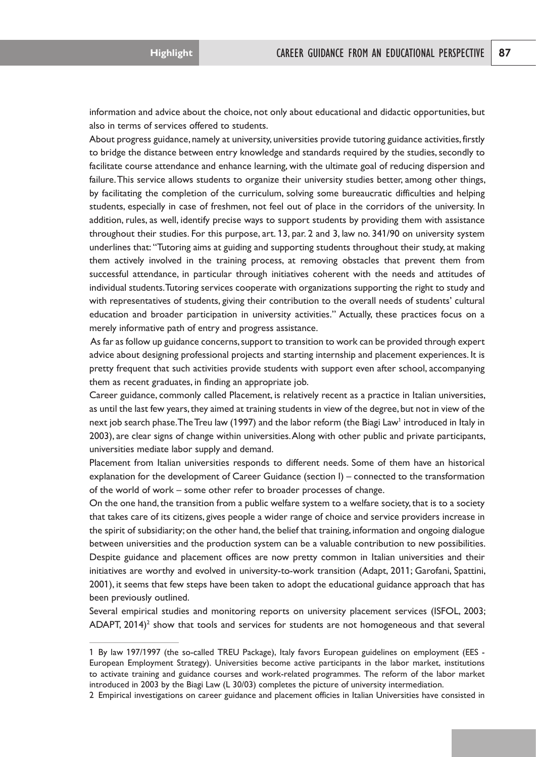information and advice about the choice, not only about educational and didactic opportunities, but also in terms of services offered to students.

About progress guidance, namely at university, universities provide tutoring guidance activities, firstly to bridge the distance between entry knowledge and standards required by the studies, secondly to facilitate course attendance and enhance learning, with the ultimate goal of reducing dispersion and failure.This service allows students to organize their university studies better, among other things, by facilitating the completion of the curriculum, solving some bureaucratic difficulties and helping students, especially in case of freshmen, not feel out of place in the corridors of the university. In addition, rules, as well, identify precise ways to support students by providing them with assistance throughout their studies. For this purpose, art. 13, par. 2 and 3, law no. 341/90 on university system underlines that: "Tutoring aims at guiding and supporting students throughout their study, at making them actively involved in the training process, at removing obstacles that prevent them from successful attendance, in particular through initiatives coherent with the needs and attitudes of individual students.Tutoring services cooperate with organizations supporting the right to study and with representatives of students, giving their contribution to the overall needs of students' cultural education and broader participation in university activities." Actually, these practices focus on a merely informative path of entry and progress assistance.

As far as follow up guidance concerns,support to transition to work can be provided through expert advice about designing professional projects and starting internship and placement experiences. It is pretty frequent that such activities provide students with support even after school, accompanying them as recent graduates, in finding an appropriate job.

Career guidance, commonly called Placement, is relatively recent as a practice in Italian universities, as until the last few years, they aimed at training students in view of the degree, but not in view of the next job search phase. The Treu law (1997) and the labor reform (the Biagi Law<sup>1</sup> introduced in Italy in 2003), are clear signs of change within universities.Along with other public and private participants, universities mediate labor supply and demand.

Placement from Italian universities responds to different needs. Some of them have an historical explanation for the development of Career Guidance (section I) – connected to the transformation of the world of work – some other refer to broader processes of change.

On the one hand, the transition from a public welfare system to a welfare society, that is to a society that takes care of its citizens, gives people a wider range of choice and service providers increase in the spirit of subsidiarity; on the other hand, the belief that training, information and ongoing dialogue between universities and the production system can be a valuable contribution to new possibilities. Despite guidance and placement offices are now pretty common in Italian universities and their initiatives are worthy and evolved in university-to-work transition (Adapt, 2011; Garofani, Spattini, 2001), it seems that few steps have been taken to adopt the educational guidance approach that has been previously outlined.

Several empirical studies and monitoring reports on university placement services (ISFOL, 2003; ADAPT,  $2014$ <sup>2</sup> show that tools and services for students are not homogeneous and that several

<sup>1</sup> By law 197/1997 (the so-called TREU Package), Italy favors European guidelines on employment (EES - European Employment Strategy). Universities become active participants in the labor market, institutions to activate training and guidance courses and work-related programmes. The reform of the labor market introduced in 2003 by the Biagi Law (L 30/03) completes the picture of university intermediation.

<sup>2</sup> Empirical investigations on career guidance and placement officies in Italian Universities have consisted in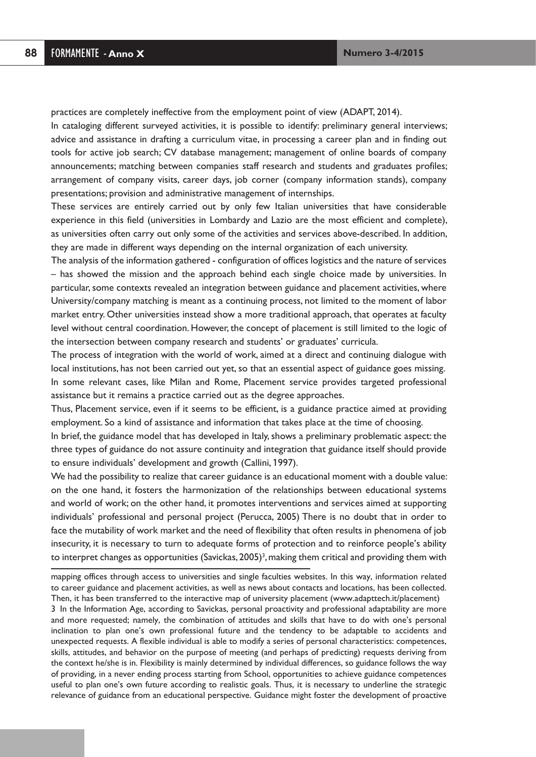practices are completely ineffective from the employment point of view (ADAPT, 2014).

In cataloging different surveyed activities, it is possible to identify: preliminary general interviews; advice and assistance in drafting a curriculum vitae, in processing a career plan and in finding out tools for active job search; CV database management; management of online boards of company announcements; matching between companies staff research and students and graduates profiles; arrangement of company visits, career days, job corner (company information stands), company presentations; provision and administrative management of internships.

These services are entirely carried out by only few Italian universities that have considerable experience in this field (universities in Lombardy and Lazio are the most efficient and complete), as universities often carry out only some of the activities and services above-described. In addition, they are made in different ways depending on the internal organization of each university.

The analysis of the information gathered - configuration of offices logistics and the nature of services – has showed the mission and the approach behind each single choice made by universities. In particular, some contexts revealed an integration between guidance and placement activities, where University/company matching is meant as a continuing process, not limited to the moment of labor market entry. Other universities instead show a more traditional approach, that operates at faculty level without central coordination. However, the concept of placement is still limited to the logic of the intersection between company research and students' or graduates' curricula.

The process of integration with the world of work, aimed at a direct and continuing dialogue with local institutions, has not been carried out yet, so that an essential aspect of guidance goes missing. In some relevant cases, like Milan and Rome, Placement service provides targeted professional assistance but it remains a practice carried out as the degree approaches.

Thus, Placement service, even if it seems to be efficient, is a guidance practice aimed at providing employment. So a kind of assistance and information that takes place at the time of choosing.

In brief, the guidance model that has developed in Italy, shows a preliminary problematic aspect: the three types of guidance do not assure continuity and integration that guidance itself should provide to ensure individuals' development and growth (Callini, 1997).

We had the possibility to realize that career guidance is an educational moment with a double value: on the one hand, it fosters the harmonization of the relationships between educational systems and world of work; on the other hand, it promotes interventions and services aimed at supporting individuals' professional and personal project (Perucca, 2005) There is no doubt that in order to face the mutability of work market and the need of flexibility that often results in phenomena of job insecurity, it is necessary to turn to adequate forms of protection and to reinforce people's ability to interpret changes as opportunities (Savickas, 2005) $^3$ , making them critical and providing them with

mapping offices through access to universities and single faculties websites. In this way, information related to career guidance and placement activities, as well as news about contacts and locations, has been collected. Then, it has been transferred to the interactive map of university placement (www.adapttech.it/placement)

3 In the Information Age, according to Savickas, personal proactivity and professional adaptability are more and more requested; namely, the combination of attitudes and skills that have to do with one's personal inclination to plan one's own professional future and the tendency to be adaptable to accidents and unexpected requests. A flexible individual is able to modify a series of personal characteristics: competences, skills, attitudes, and behavior on the purpose of meeting (and perhaps of predicting) requests deriving from the context he/she is in. Flexibility is mainly determined by individual differences, so guidance follows the way of providing, in a never ending process starting from School, opportunities to achieve guidance competences useful to plan one's own future according to realistic goals. Thus, it is necessary to underline the strategic relevance of guidance from an educational perspective. Guidance might foster the development of proactive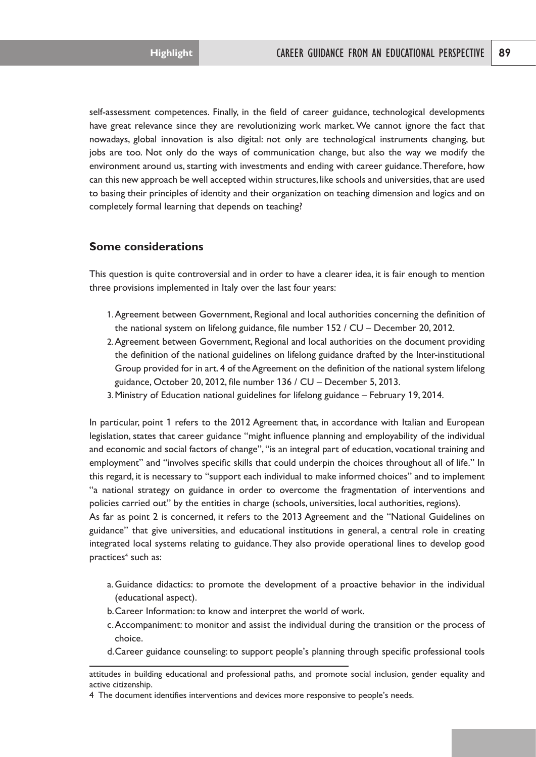self-assessment competences. Finally, in the field of career guidance, technological developments have great relevance since they are revolutionizing work market.We cannot ignore the fact that nowadays, global innovation is also digital: not only are technological instruments changing, but jobs are too. Not only do the ways of communication change, but also the way we modify the environment around us, starting with investments and ending with career guidance. Therefore, how can this new approach be well accepted within structures, like schools and universities, that are used to basing their principles of identity and their organization on teaching dimension and logics and on completely formal learning that depends on teaching?

## **Some considerations**

This question is quite controversial and in order to have a clearer idea, it is fair enough to mention three provisions implemented in Italy over the last four years:

- 1. Agreement between Government, Regional and local authorities concerning the definition of the national system on lifelong guidance, file number 152 / CU – December 20, 2012.
- 2. Agreement between Government, Regional and local authorities on the document providing the definition of the national guidelines on lifelong guidance drafted by the Inter-institutional Group provided for in art. 4 of the Agreement on the definition of the national system lifelong guidance, October 20, 2012, file number 136 / CU – December 5, 2013.
- 3. Ministry of Education national guidelines for lifelong guidance February 19, 2014.

In particular, point 1 refers to the 2012 Agreement that, in accordance with Italian and European legislation, states that career guidance "might influence planning and employability of the individual and economic and social factors of change", "is an integral part of education, vocational training and employment" and "involves specific skills that could underpin the choices throughout all of life." In this regard, it is necessary to "support each individual to make informed choices" and to implement "a national strategy on guidance in order to overcome the fragmentation of interventions and policies carried out" by the entities in charge (schools, universities, local authorities, regions).

As far as point 2 is concerned, it refers to the 2013 Agreement and the "National Guidelines on guidance" that give universities, and educational institutions in general, a central role in creating integrated local systems relating to guidance.They also provide operational lines to develop good practices<sup>4</sup> such as:

- a. Guidance didactics: to promote the development of a proactive behavior in the individual (educational aspect).
- b. Career Information: to know and interpret the world of work.
- c. Accompaniment: to monitor and assist the individual during the transition or the process of choice.
- d. Career guidance counseling: to support people's planning through specific professional tools

attitudes in building educational and professional paths, and promote social inclusion, gender equality and active citizenship.

<sup>4</sup> The document identifies interventions and devices more responsive to people's needs.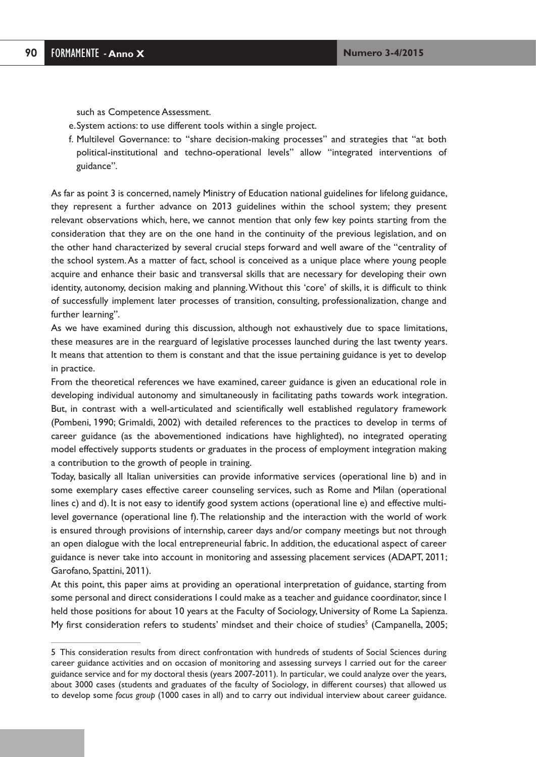such as Competence Assessment.

- e. System actions: to use different tools within a single project.
- f. Multilevel Governance: to "share decision-making processes" and strategies that "at both political-institutional and techno-operational levels" allow "integrated interventions of guidance".

As far as point 3 is concerned, namely Ministry of Education national guidelines for lifelong guidance, they represent a further advance on 2013 guidelines within the school system; they present relevant observations which, here, we cannot mention that only few key points starting from the consideration that they are on the one hand in the continuity of the previous legislation, and on the other hand characterized by several crucial steps forward and well aware of the "centrality of the school system.As a matter of fact, school is conceived as a unique place where young people acquire and enhance their basic and transversal skills that are necessary for developing their own identity, autonomy, decision making and planning.Without this 'core' of skills, it is difficult to think of successfully implement later processes of transition, consulting, professionalization, change and further learning".

As we have examined during this discussion, although not exhaustively due to space limitations, these measures are in the rearguard of legislative processes launched during the last twenty years. It means that attention to them is constant and that the issue pertaining guidance is yet to develop in practice.

From the theoretical references we have examined, career guidance is given an educational role in developing individual autonomy and simultaneously in facilitating paths towards work integration. But, in contrast with a well-articulated and scientifically well established regulatory framework (Pombeni, 1990; Grimaldi, 2002) with detailed references to the practices to develop in terms of career guidance (as the abovementioned indications have highlighted), no integrated operating model effectively supports students or graduates in the process of employment integration making a contribution to the growth of people in training.

Today, basically all Italian universities can provide informative services (operational line b) and in some exemplary cases effective career counseling services, such as Rome and Milan (operational lines c) and d). It is not easy to identify good system actions (operational line e) and effective multilevel governance (operational line f).The relationship and the interaction with the world of work is ensured through provisions of internship, career days and/or company meetings but not through an open dialogue with the local entrepreneurial fabric. In addition, the educational aspect of career guidance is never take into account in monitoring and assessing placement services (ADAPT, 2011; Garofano, Spattini, 2011).

At this point, this paper aims at providing an operational interpretation of guidance, starting from some personal and direct considerations I could make as a teacher and guidance coordinator, since I held those positions for about 10 years at the Faculty of Sociology, University of Rome La Sapienza. My first consideration refers to students' mindset and their choice of studies<sup>5</sup> (Campanella, 2005;

<sup>5</sup> This consideration results from direct confrontation with hundreds of students of Social Sciences during career guidance activities and on occasion of monitoring and assessing surveys I carried out for the career guidance service and for my doctoral thesis (years 2007-2011). In particular, we could analyze over the years, about 3000 cases (students and graduates of the faculty of Sociology, in different courses) that allowed us to develop some *focus group* (1000 cases in all) and to carry out individual interview about career guidance.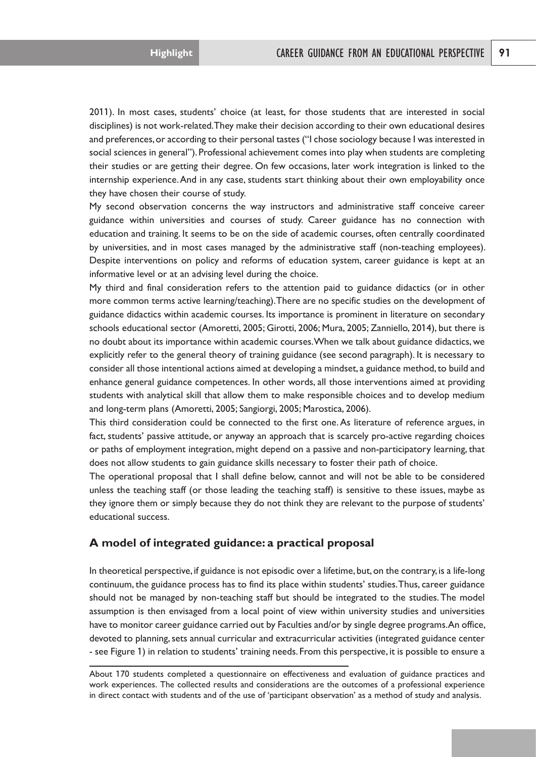2011). In most cases, students' choice (at least, for those students that are interested in social disciplines) is not work-related.They make their decision according to their own educational desires and preferences,or according to their personal tastes ("I chose sociology because I was interested in social sciences in general"). Professional achievement comes into play when students are completing their studies or are getting their degree. On few occasions, later work integration is linked to the internship experience.And in any case, students start thinking about their own employability once they have chosen their course of study.

My second observation concerns the way instructors and administrative staff conceive career guidance within universities and courses of study. Career guidance has no connection with education and training. It seems to be on the side of academic courses, often centrally coordinated by universities, and in most cases managed by the administrative staff (non-teaching employees). Despite interventions on policy and reforms of education system, career guidance is kept at an informative level or at an advising level during the choice.

My third and final consideration refers to the attention paid to guidance didactics (or in other more common terms active learning/teaching).There are no specific studies on the development of guidance didactics within academic courses. Its importance is prominent in literature on secondary schools educational sector (Amoretti, 2005; Girotti, 2006; Mura, 2005; Zanniello, 2014), but there is no doubt about its importance within academic courses.When we talk about guidance didactics, we explicitly refer to the general theory of training guidance (see second paragraph). It is necessary to consider all those intentional actions aimed at developing a mindset, a guidance method, to build and enhance general guidance competences. In other words, all those interventions aimed at providing students with analytical skill that allow them to make responsible choices and to develop medium and long-term plans (Amoretti, 2005; Sangiorgi, 2005; Marostica, 2006).

This third consideration could be connected to the first one.As literature of reference argues, in fact, students' passive attitude, or anyway an approach that is scarcely pro-active regarding choices or paths of employment integration, might depend on a passive and non-participatory learning, that does not allow students to gain guidance skills necessary to foster their path of choice.

The operational proposal that I shall define below, cannot and will not be able to be considered unless the teaching staff (or those leading the teaching staff) is sensitive to these issues, maybe as they ignore them or simply because they do not think they are relevant to the purpose of students' educational success.

## **A model of integrated guidance: a practical proposal**

In theoretical perspective, if guidance is not episodic over a lifetime, but, on the contrary, is a life-long continuum, the guidance process has to find its place within students' studies.Thus, career guidance should not be managed by non-teaching staff but should be integrated to the studies.The model assumption is then envisaged from a local point of view within university studies and universities have to monitor career guidance carried out by Faculties and/or by single degree programs.An office, devoted to planning, sets annual curricular and extracurricular activities (integrated guidance center - see Figure 1) in relation to students' training needs. From this perspective, it is possible to ensure a

About 170 students completed a questionnaire on effectiveness and evaluation of guidance practices and work experiences. The collected results and considerations are the outcomes of a professional experience in direct contact with students and of the use of 'participant observation' as a method of study and analysis.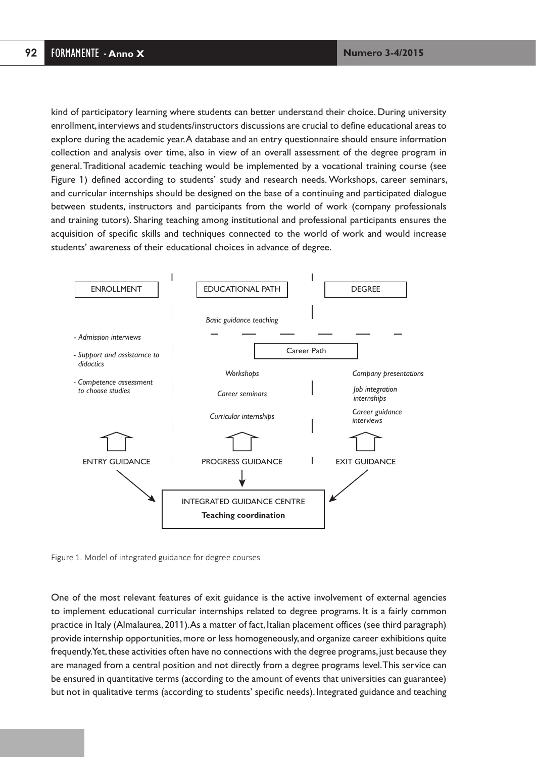kind of participatory learning where students can better understand their choice. During university enrollment, interviews and students/instructors discussions are crucial to define educational areas to explore during the academic year.A database and an entry questionnaire should ensure information collection and analysis over time, also in view of an overall assessment of the degree program in general.Traditional academic teaching would be implemented by a vocational training course (see Figure 1) defined according to students' study and research needs. Workshops, career seminars, and curricular internships should be designed on the base of a continuing and participated dialogue between students, instructors and participants from the world of work (company professionals and training tutors). Sharing teaching among institutional and professional participants ensures the acquisition of specific skills and techniques connected to the world of work and would increase students' awareness of their educational choices in advance of degree.



Figure 1. Model of integrated guidance for degree courses

One of the most relevant features of exit guidance is the active involvement of external agencies to implement educational curricular internships related to degree programs. It is a fairly common practice in Italy (Almalaurea, 2011).As a matter of fact, Italian placement offices (see third paragraph) provide internship opportunities, more or less homogeneously, and organize career exhibitions quite frequently.Yet, these activities often have no connections with the degree programs, just because they are managed from a central position and not directly from a degree programs level.This service can be ensured in quantitative terms (according to the amount of events that universities can guarantee) but not in qualitative terms (according to students' specific needs). Integrated guidance and teaching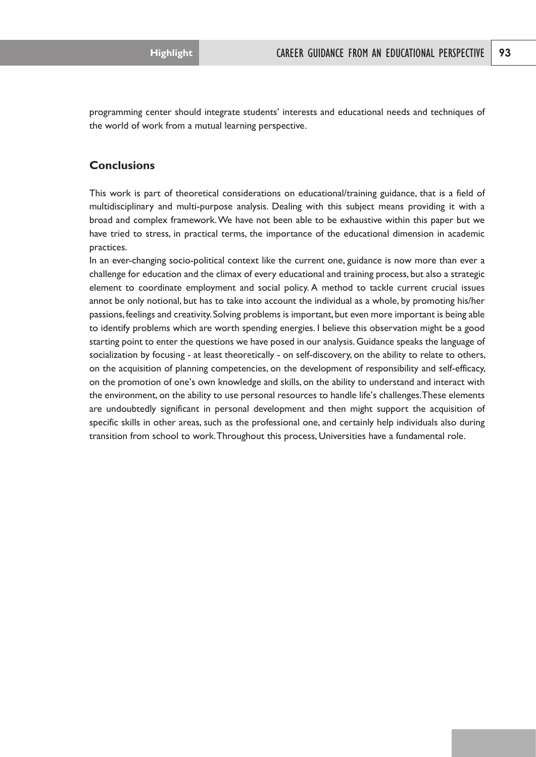programming center should integrate students' interests and educational needs and techniques of the world of work from a mutual learning perspective.

## **Conclusions**

This work is part of theoretical considerations on educational/training guidance, that is a field of multidisciplinary and multi-purpose analysis. Dealing with this subject means providing it with a broad and complex framework.We have not been able to be exhaustive within this paper but we have tried to stress, in practical terms, the importance of the educational dimension in academic practices.

In an ever-changing socio-political context like the current one, guidance is now more than ever a challenge for education and the climax of every educational and training process, but also a strategic element to coordinate employment and social policy. A method to tackle current crucial issues annot be only notional, but has to take into account the individual as a whole, by promoting his/her passions, feelings and creativity. Solving problems is important, but even more important is being able to identify problems which are worth spending energies. I believe this observation might be a good starting point to enter the questions we have posed in our analysis.Guidance speaks the language of socialization by focusing - at least theoretically - on self-discovery, on the ability to relate to others, on the acquisition of planning competencies, on the development of responsibility and self-efficacy, on the promotion of one's own knowledge and skills, on the ability to understand and interact with the environment, on the ability to use personal resources to handle life's challenges.These elements are undoubtedly significant in personal development and then might support the acquisition of specific skills in other areas, such as the professional one, and certainly help individuals also during transition from school to work.Throughout this process, Universities have a fundamental role.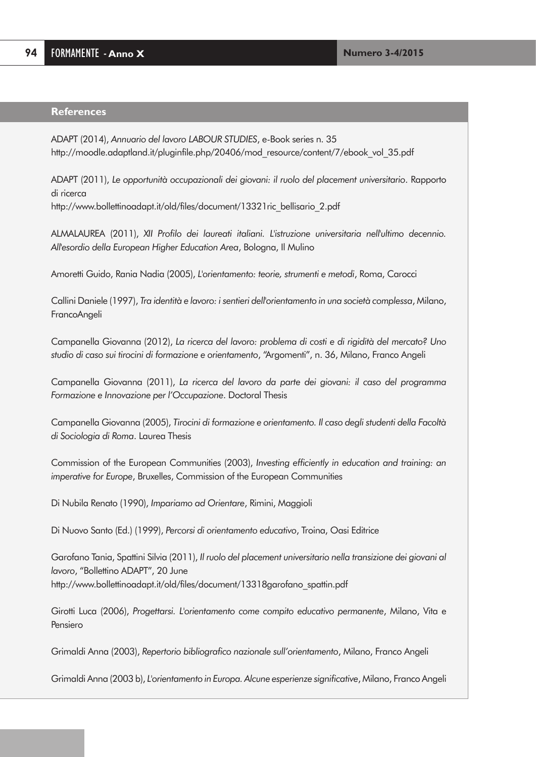#### **References**

ADAPT (2014), *Annuario del lavoro LABOUR STUDIES*, e-Book series n. 35 http://moodle.adaptland.it/pluginfile.php/20406/mod\_resource/content/7/ebook\_vol\_35.pdf

ADAPT (2011), *Le opportunità occupazionali dei giovani: il ruolo del placement universitario*. Rapporto di ricerca

http://www.bollettinoadapt.it/old/files/document/13321ric\_bellisario\_2.pdf

ALMALAUREA (2011), *XII Profilo dei laureati italiani. L'istruzione universitaria nell'ultimo decennio. All'esordio della European Higher Education Area*, Bologna, Il Mulino

Amoretti Guido, Rania Nadia (2005), *L'orientamento: teorie, strumenti e metodi*, Roma, Carocci

Callini Daniele (1997), *Tra identità e lavoro: i sentieri dell'orientamento in una società complessa*, Milano, FrancoAngeli

Campanella Giovanna (2012), *La ricerca del lavoro: problema di costi e di rigidità del mercato? Uno studio di caso sui tirocini di formazione e orientamento*, "Argomenti", n. 36, Milano, Franco Angeli

Campanella Giovanna (2011), *La ricerca del lavoro da parte dei giovani: il caso del programma Formazione e Innovazione per l'Occupazione*. Doctoral Thesis

Campanella Giovanna (2005), *Tirocini di formazione e orientamento. Il caso degli studenti della Facoltà di Sociologia di Roma*. Laurea Thesis

Commission of the European Communities (2003), *Investing efficiently in education and training: an imperative for Europe*, Bruxelles, Commission of the European Communities

Di Nubila Renato (1990), *Impariamo ad Orientare*, Rimini, Maggioli

Di Nuovo Santo (Ed.) (1999), *Percorsi di orientamento educativo*, Troina, Oasi Editrice

Garofano Tania, Spattini Silvia (2011), *Il ruolo del placement universitario nella transizione dei giovani al lavoro*, "Bollettino ADAPT", 20 June http://www.bollettinoadapt.it/old/files/document/13318garofano\_spattin.pdf

Girotti Luca (2006), *Progettarsi. L'orientamento come compito educativo permanente*, Milano, Vita e Pensiero

Grimaldi Anna (2003), *Repertorio bibliografico nazionale sull'orientamento*, Milano, Franco Angeli

Grimaldi Anna (2003 b), *L'orientamento in Europa. Alcune esperienze significative*, Milano, Franco Angeli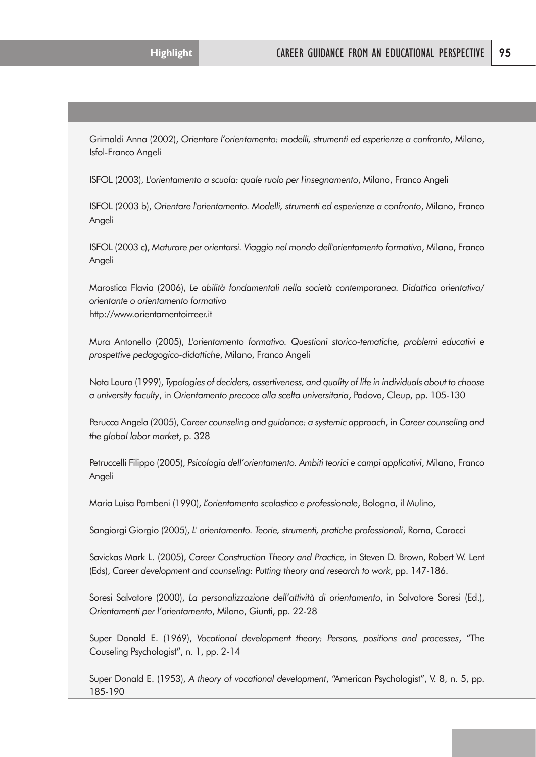Grimaldi Anna (2002), *Orientare l'orientamento: modelli, strumenti ed esperienze a confronto*, Milano, Isfol-Franco Angeli

ISFOL (2003), *L'orientamento a scuola: quale ruolo per l'insegnamento*, Milano, Franco Angeli

ISFOL (2003 b), *Orientare l'orientamento. Modelli, strumenti ed esperienze a confronto*, Milano, Franco Angeli

ISFOL (2003 c), *Maturare per orientarsi. Viaggio nel mondo dell'orientamento formativo*, Milano, Franco Angeli

Marostica Flavia (2006), *Le abilità fondamentali nella società contemporanea. Didattica orientativa/ orientante o orientamento formativo* http://www.orientamentoirreer.it

Mura Antonello (2005), *L'orientamento formativo. Questioni storico-tematiche, problemi educativi e prospettive pedagogico-didattiche*, Milano, Franco Angeli

Nota Laura (1999), *Typologies of deciders, assertiveness, and quality of life in individuals about to choose a university faculty*, in *Orientamento precoce alla scelta universitaria*, Padova, Cleup, pp. 105-130

Perucca Angela (2005), *Career counseling and guidance: a systemic approach*, in *Career counseling and the global labor market*, p. 328

Petruccelli Filippo (2005), *Psicologia dell'orientamento. Ambiti teorici e campi applicativi*, Milano, Franco Angeli

Maria Luisa Pombeni (1990), *L'orientamento scolastico e professionale*, Bologna, il Mulino,

Sangiorgi Giorgio (2005), *L' orientamento. Teorie, strumenti, pratiche professionali*, Roma, Carocci

Savickas Mark L. (2005), *Career Construction Theory and Practice,* in Steven D. Brown, Robert W. Lent (Eds), *Career development and counseling: Putting theory and research to work*, pp. 147-186.

Soresi Salvatore (2000), *La personalizzazione dell'attività di orientamento*, in Salvatore Soresi (Ed.), *Orientamenti per l'orientamento*, Milano, Giunti, pp. 22-28

Super Donald E. (1969), *Vocational development theory: Persons, positions and processes*, "The Couseling Psychologist", n. 1, pp. 2-14

Super Donald E. (1953), *A theory of vocational development*, "American Psychologist", V. 8, n. 5, pp. 185-190